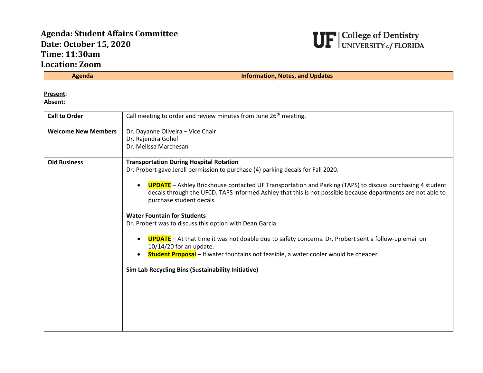## **Agenda: Student Affairs Committee Date: October 15, 2020 Time: 11:30am Location: Zoom**



**Information, Notes, and Updates** 

**Present**:

**Absent**:

| <b>Call to Order</b>       | Call meeting to order and review minutes from June 26 <sup>th</sup> meeting.                                                                                                                                                                                                                                                                                                                                                                                                                                                                                                                                                                                                                                                                                                                                             |
|----------------------------|--------------------------------------------------------------------------------------------------------------------------------------------------------------------------------------------------------------------------------------------------------------------------------------------------------------------------------------------------------------------------------------------------------------------------------------------------------------------------------------------------------------------------------------------------------------------------------------------------------------------------------------------------------------------------------------------------------------------------------------------------------------------------------------------------------------------------|
| <b>Welcome New Members</b> | Dr. Dayanne Oliveira - Vice Chair<br>Dr. Rajendra Gohel<br>Dr. Melissa Marchesan                                                                                                                                                                                                                                                                                                                                                                                                                                                                                                                                                                                                                                                                                                                                         |
| <b>Old Business</b>        | <b>Transportation During Hospital Rotation</b><br>Dr. Probert gave Jerell permission to purchase (4) parking decals for Fall 2020.<br><b>UPDATE</b> - Ashley Brickhouse contacted UF Transportation and Parking (TAPS) to discuss purchasing 4 student<br>decals through the UFCD. TAPS informed Ashley that this is not possible because departments are not able to<br>purchase student decals.<br><b>Water Fountain for Students</b><br>Dr. Probert was to discuss this option with Dean Garcia.<br><b>UPDATE</b> - At that time it was not doable due to safety concerns. Dr. Probert sent a follow-up email on<br>$\bullet$<br>$10/14/20$ for an update.<br><b>Student Proposal</b> – If water fountains not feasible, a water cooler would be cheaper<br><b>Sim Lab Recycling Bins (Sustainability Initiative)</b> |